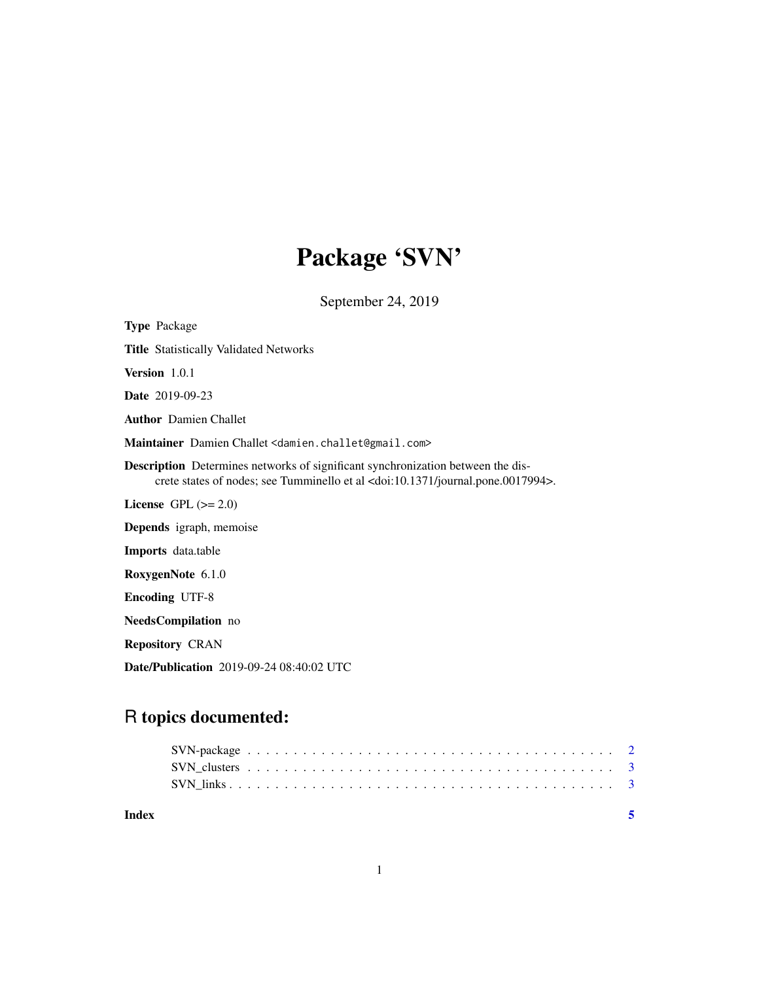# Package 'SVN'

September 24, 2019

| <b>Type Package</b>                                                                                                                                                                        |
|--------------------------------------------------------------------------------------------------------------------------------------------------------------------------------------------|
| <b>Title Statistically Validated Networks</b>                                                                                                                                              |
| Version 1.0.1                                                                                                                                                                              |
| <b>Date</b> 2019-09-23                                                                                                                                                                     |
| <b>Author</b> Damien Challet                                                                                                                                                               |
| Maintainer Damien Challet <damien.challet@gmail.com></damien.challet@gmail.com>                                                                                                            |
| <b>Description</b> Determines networks of significant synchronization between the dis-<br>crete states of nodes; see Tumminello et al <doi:10.1371 journal.pone.0017994="">.</doi:10.1371> |
| License GPL $(>= 2.0)$                                                                                                                                                                     |
| <b>Depends</b> igraph, memoise                                                                                                                                                             |
| <b>Imports</b> data.table                                                                                                                                                                  |
| RoxygenNote 6.1.0                                                                                                                                                                          |
| <b>Encoding UTF-8</b>                                                                                                                                                                      |
| <b>NeedsCompilation</b> no                                                                                                                                                                 |
| <b>Repository CRAN</b>                                                                                                                                                                     |
| <b>Date/Publication</b> 2019-09-24 08:40:02 UTC                                                                                                                                            |

# R topics documented:

| Index |  |  |  |  |  |  |  |  |  |  |  |  |  |  |  |  |  |  |
|-------|--|--|--|--|--|--|--|--|--|--|--|--|--|--|--|--|--|--|
|       |  |  |  |  |  |  |  |  |  |  |  |  |  |  |  |  |  |  |
|       |  |  |  |  |  |  |  |  |  |  |  |  |  |  |  |  |  |  |
|       |  |  |  |  |  |  |  |  |  |  |  |  |  |  |  |  |  |  |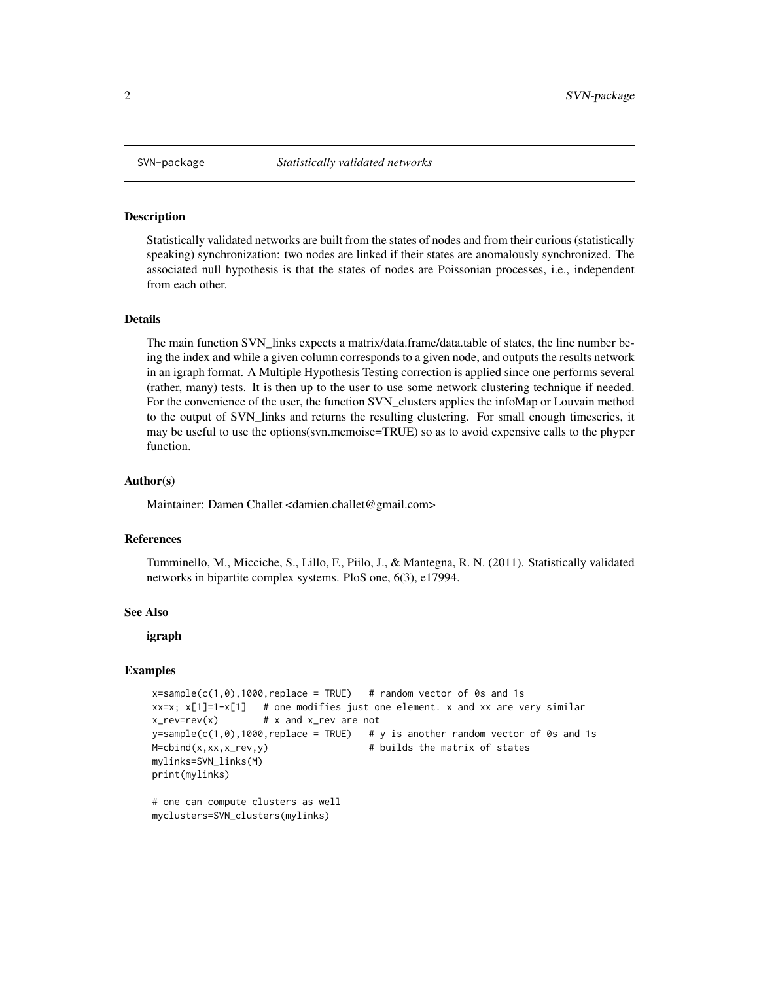<span id="page-1-0"></span>

## Description

Statistically validated networks are built from the states of nodes and from their curious (statistically speaking) synchronization: two nodes are linked if their states are anomalously synchronized. The associated null hypothesis is that the states of nodes are Poissonian processes, i.e., independent from each other.

# Details

The main function SVN\_links expects a matrix/data.frame/data.table of states, the line number being the index and while a given column corresponds to a given node, and outputs the results network in an igraph format. A Multiple Hypothesis Testing correction is applied since one performs several (rather, many) tests. It is then up to the user to use some network clustering technique if needed. For the convenience of the user, the function SVN\_clusters applies the infoMap or Louvain method to the output of SVN\_links and returns the resulting clustering. For small enough timeseries, it may be useful to use the options(svn.memoise=TRUE) so as to avoid expensive calls to the phyper function.

#### Author(s)

Maintainer: Damen Challet <damien.challet@gmail.com>

#### References

Tumminello, M., Micciche, S., Lillo, F., Piilo, J., & Mantegna, R. N. (2011). Statistically validated networks in bipartite complex systems. PloS one, 6(3), e17994.

# See Also

igraph

#### Examples

```
x=sample(c(1,0),1000,replace = TRUE) # random vector of 0s and 1s
xx=x; x[1]=1-x[1] # one modifies just one element. x and xx are very similar
x_rev=rev(x) # x and x_rev are not
y=sample(c(1,0),1000,replace = TRUE) # y is another random vector of 0s and 1s
M = \text{cbind}(x, xx, x_{rev}, y) # builds the matrix of states
mylinks=SVN_links(M)
print(mylinks)
# one can compute clusters as well
```

```
myclusters=SVN_clusters(mylinks)
```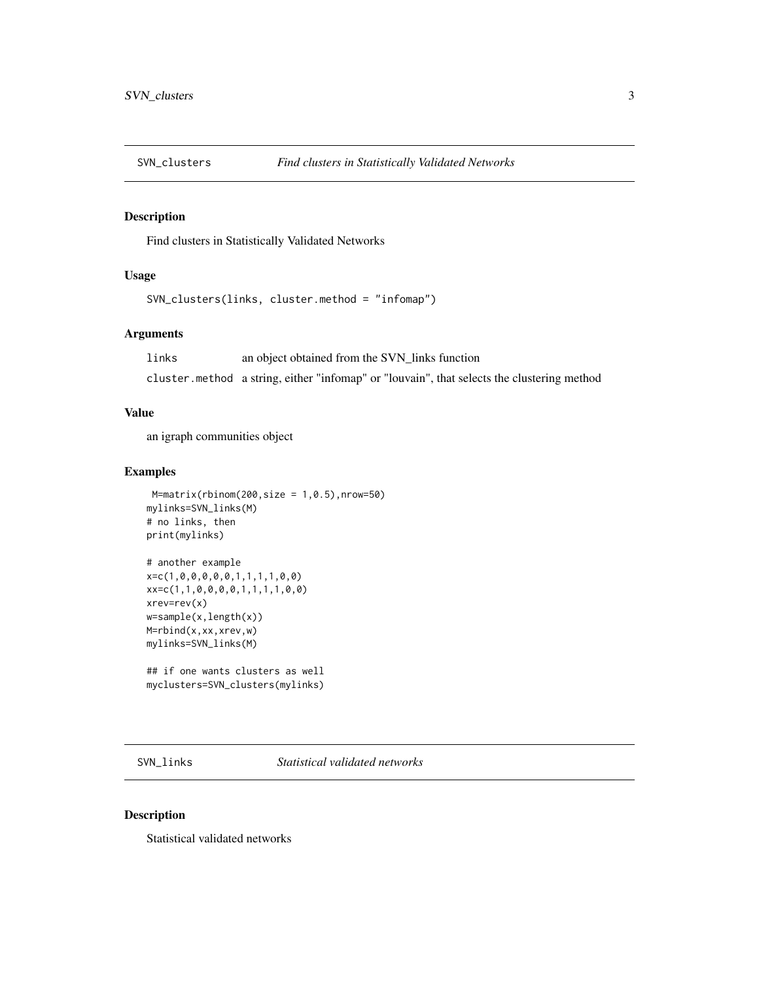<span id="page-2-0"></span>

# Description

Find clusters in Statistically Validated Networks

# Usage

```
SVN_clusters(links, cluster.method = "infomap")
```
# Arguments

links an object obtained from the SVN\_links function cluster.method a string, either "infomap" or "louvain", that selects the clustering method

# Value

an igraph communities object

# Examples

```
M=matrix(rbinom(200,size = 1,0.5),nrow=50)
mylinks=SVN_links(M)
# no links, then
print(mylinks)
# another example
x=c(1,0,0,0,0,0,1,1,1,1,0,0)
xx=c(1,1,0,0,0,0,1,1,1,1,0,0)
xrev=rev(x)
w=sample(x,length(x))
M=rbind(x,xx,xrev,w)
mylinks=SVN_links(M)
## if one wants clusters as well
myclusters=SVN_clusters(mylinks)
```
SVN\_links *Statistical validated networks*

## Description

Statistical validated networks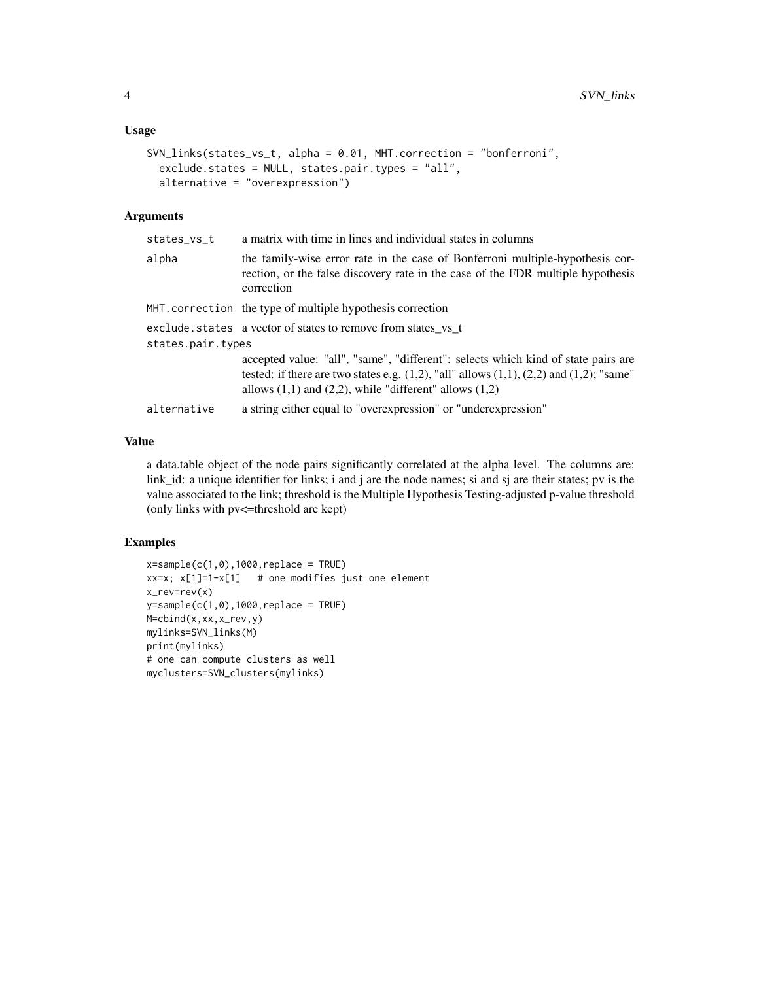## Usage

```
SVN_links(states_vs_t, alpha = 0.01, MHT.correction = "bonferroni",
  exclude.states = NULL, states.pair.types = "all",
  alternative = "overexpression")
```
# Arguments

| states_vs_t       | a matrix with time in lines and individual states in columns                                                                                                                                                                                             |
|-------------------|----------------------------------------------------------------------------------------------------------------------------------------------------------------------------------------------------------------------------------------------------------|
| alpha             | the family-wise error rate in the case of Bonferroni multiple-hypothesis cor-<br>rection, or the false discovery rate in the case of the FDR multiple hypothesis<br>correction                                                                           |
|                   | MHT.correction the type of multiple hypothesis correction                                                                                                                                                                                                |
|                   | exclude.states a vector of states to remove from states vs t                                                                                                                                                                                             |
| states.pair.types |                                                                                                                                                                                                                                                          |
|                   | accepted value: "all", "same", "different": selects which kind of state pairs are<br>tested: if there are two states e.g. $(1,2)$ , "all" allows $(1,1)$ , $(2,2)$ and $(1,2)$ ; "same"<br>allows $(1,1)$ and $(2,2)$ , while "different" allows $(1,2)$ |
| alternative       | a string either equal to "overexpression" or "underexpression"                                                                                                                                                                                           |
|                   |                                                                                                                                                                                                                                                          |

# Value

a data.table object of the node pairs significantly correlated at the alpha level. The columns are: link\_id: a unique identifier for links; i and j are the node names; si and sj are their states; pv is the value associated to the link; threshold is the Multiple Hypothesis Testing-adjusted p-value threshold (only links with pv<=threshold are kept)

## Examples

```
x=sample(c(1,0),1000,replace = TRUE)xx=x; x[1]=1-x[1] # one modifies just one element
x_rev=rev(x)
y=sample(c(1,0),1000,replace = TRUE)M=cbind(x,xx,x_rev,y)
mylinks=SVN_links(M)
print(mylinks)
# one can compute clusters as well
myclusters=SVN_clusters(mylinks)
```